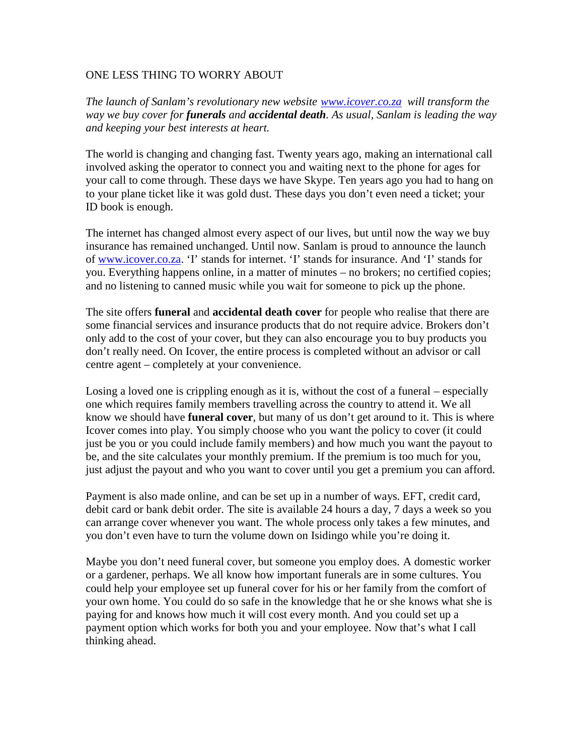## ONE LESS THING TO WORRY ABOUT

*The launch of Sanlam's revolutionary new website www.icover.co.za will transform the way we buy cover for funerals and accidental death. As usual, Sanlam is leading the way and keeping your best interests at heart.*

The world is changing and changing fast. Twenty years ago, making an international call involved asking the operator to connect you and waiting next to the phone for ages for your call to come through. These days we have Skype. Ten years ago you had to hang on to your plane ticket like it was gold dust. These days you don't even need a ticket; your ID book is enough.

The internet has changed almost every aspect of our lives, but until now the way we buy insurance has remained unchanged. Until now. Sanlam is proud to announce the launch of www.icover.co.za. 'I' stands for internet. 'I' stands for insurance. And 'I' stands for you. Everything happens online, in a matter of minutes – no brokers; no certified copies; and no listening to canned music while you wait for someone to pick up the phone.

The site offers **funeral** and **accidental death cover** for people who realise that there are some financial services and insurance products that do not require advice. Brokers don't only add to the cost of your cover, but they can also encourage you to buy products you don't really need. On Icover, the entire process is completed without an advisor or call centre agent – completely at your convenience.

Losing a loved one is crippling enough as it is, without the cost of a funeral – especially one which requires family members travelling across the country to attend it. We all know we should have **funeral cover**, but many of us don't get around to it. This is where Icover comes into play. You simply choose who you want the policy to cover (it could just be you or you could include family members) and how much you want the payout to be, and the site calculates your monthly premium. If the premium is too much for you, just adjust the payout and who you want to cover until you get a premium you can afford.

Payment is also made online, and can be set up in a number of ways. EFT, credit card, debit card or bank debit order. The site is available 24 hours a day, 7 days a week so you can arrange cover whenever you want. The whole process only takes a few minutes, and you don't even have to turn the volume down on Isidingo while you're doing it.

Maybe you don't need funeral cover, but someone you employ does. A domestic worker or a gardener, perhaps. We all know how important funerals are in some cultures. You could help your employee set up funeral cover for his or her family from the comfort of your own home. You could do so safe in the knowledge that he or she knows what she is paying for and knows how much it will cost every month. And you could set up a payment option which works for both you and your employee. Now that's what I call thinking ahead.